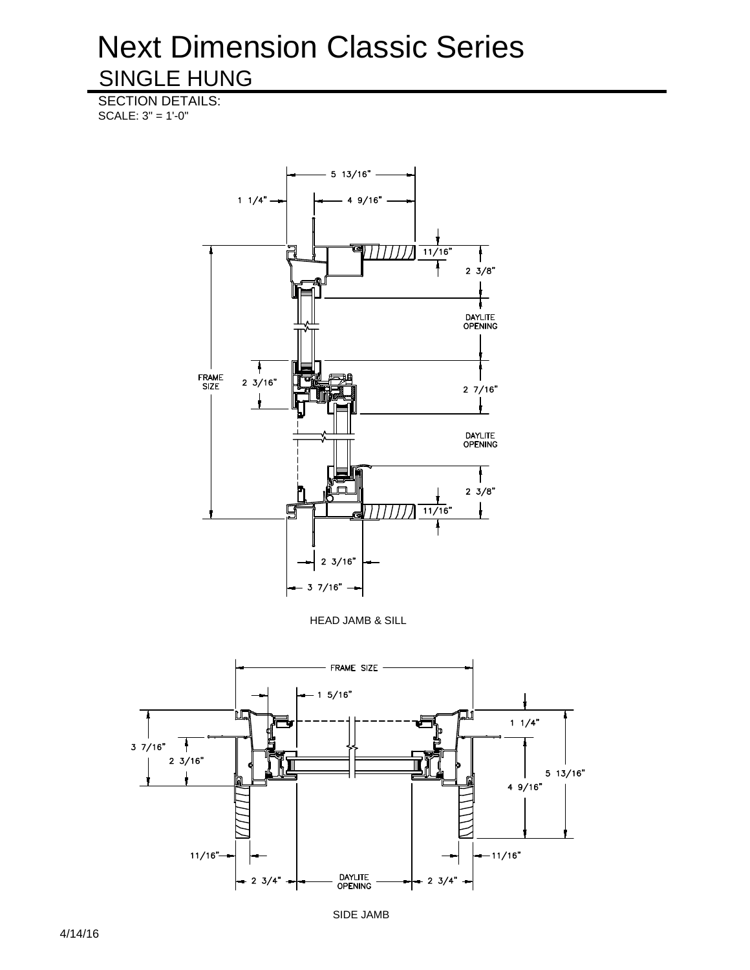SECTION DETAILS: SCALE: 3" = 1'-0"





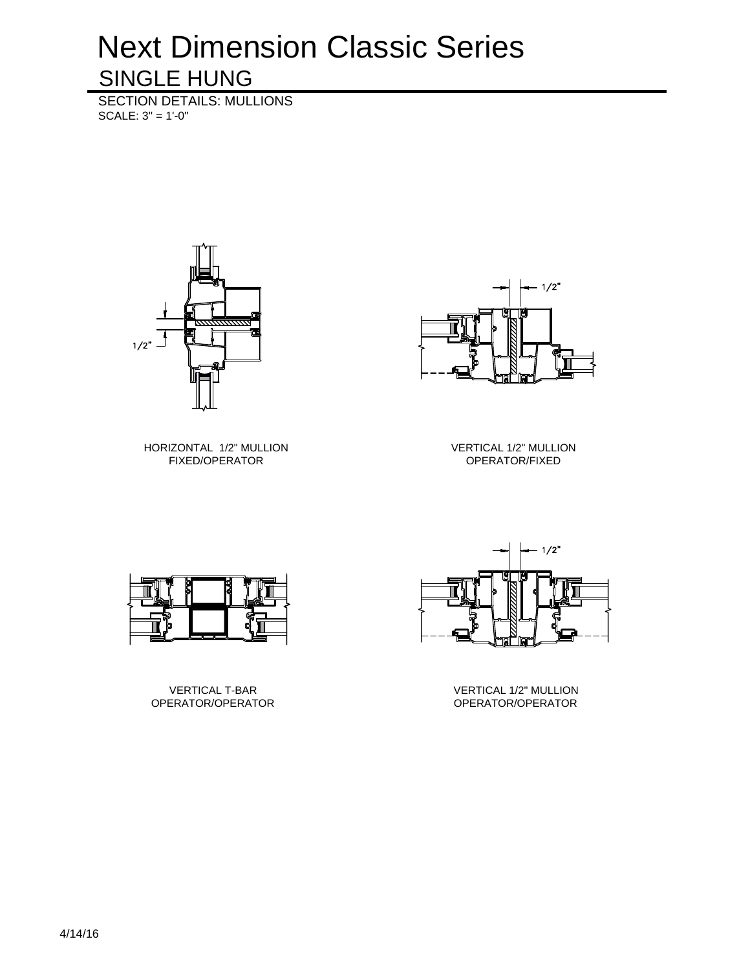SECTION DETAILS: MULLIONS SCALE: 3" = 1'-0"





HORIZONTAL 1/2" MULLION FIXED/OPERATOR

VERTICAL 1/2" MULLION OPERATOR/FIXED



VERTICAL T-BAR OPERATOR/OPERATOR



VERTICAL 1/2" MULLION OPERATOR/OPERATOR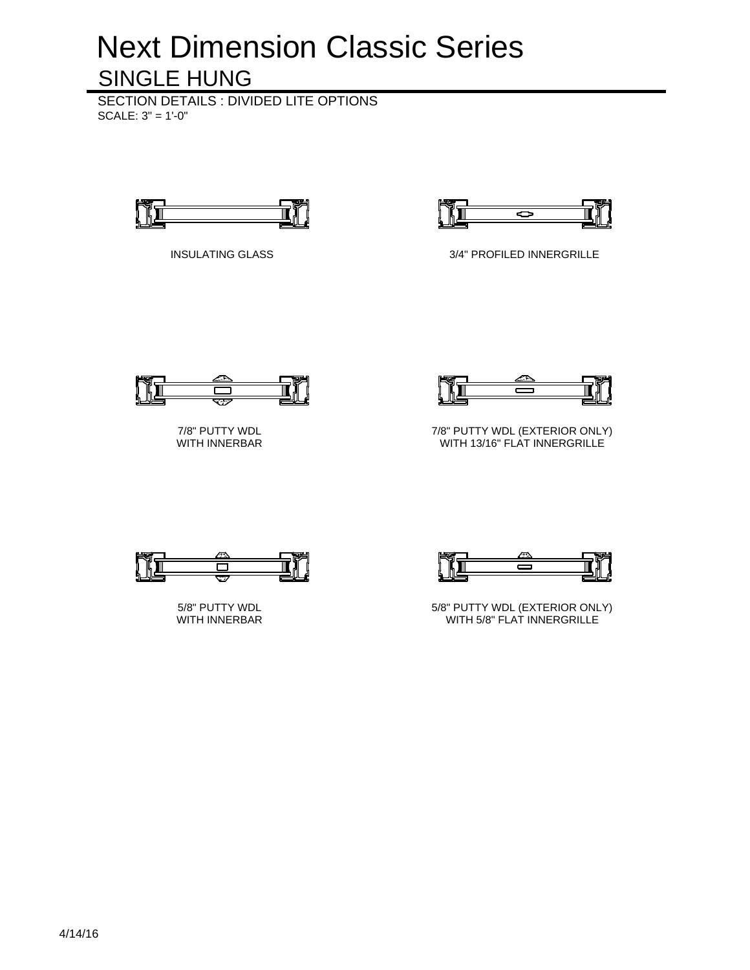SECTION DETAILS : DIVIDED LITE OPTIONS SCALE: 3" = 1'-0"





INSULATING GLASS 3/4" PROFILED INNERGRILLE



7/8" PUTTY WDL WITH INNERBAR



7/8" PUTTY WDL (EXTERIOR ONLY) WITH 13/16" FLAT INNERGRILLE



5/8" PUTTY WDL WITH INNERBAR



5/8" PUTTY WDL (EXTERIOR ONLY) WITH 5/8" FLAT INNERGRILLE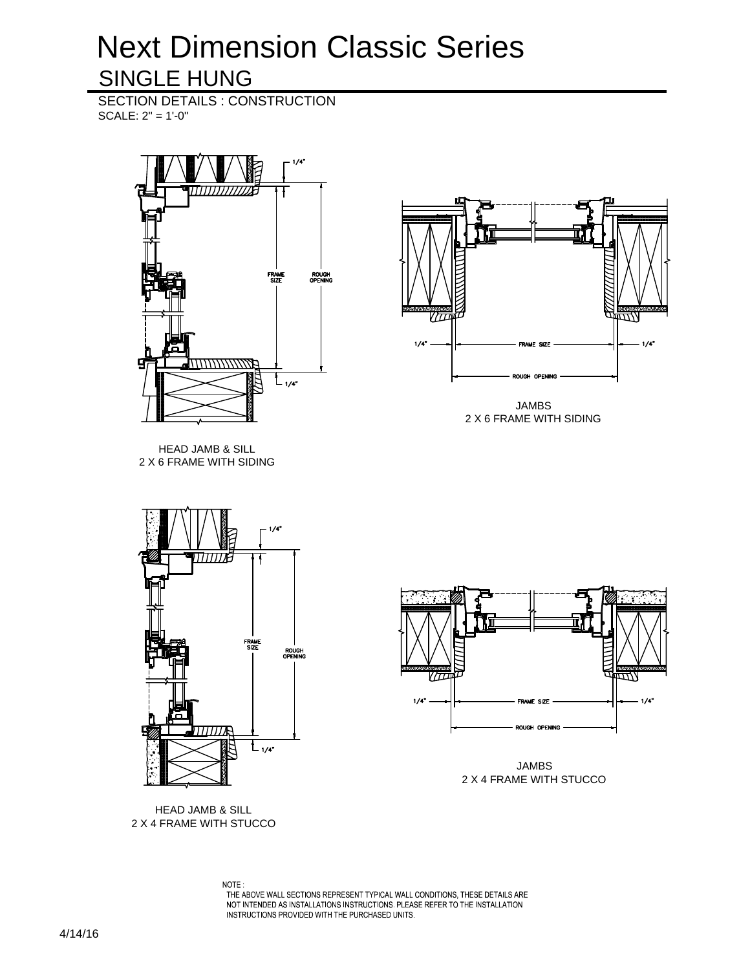SECTION DETAILS : CONSTRUCTION SCALE: 2" = 1'-0"





JAMBS 2 X 6 FRAME WITH SIDING

HEAD JAMB & SILL 2 X 6 FRAME WITH SIDING



HEAD JAMB & SILL 2 X 4 FRAME WITH STUCCO



JAMBS 2 X 4 FRAME WITH STUCCO

NOTE: VOLE.<br>THE ABOVE WALL SECTIONS REPRESENT TYPICAL WALL CONDITIONS, THESE DETAILS ARE<br>NOT INTENDED AS INSTALLATIONS INSTRUCTIONS. PLEASE REFER TO THE INSTALLATION INSTRUCTIONS PROVIDED WITH THE PURCHASED UNITS.